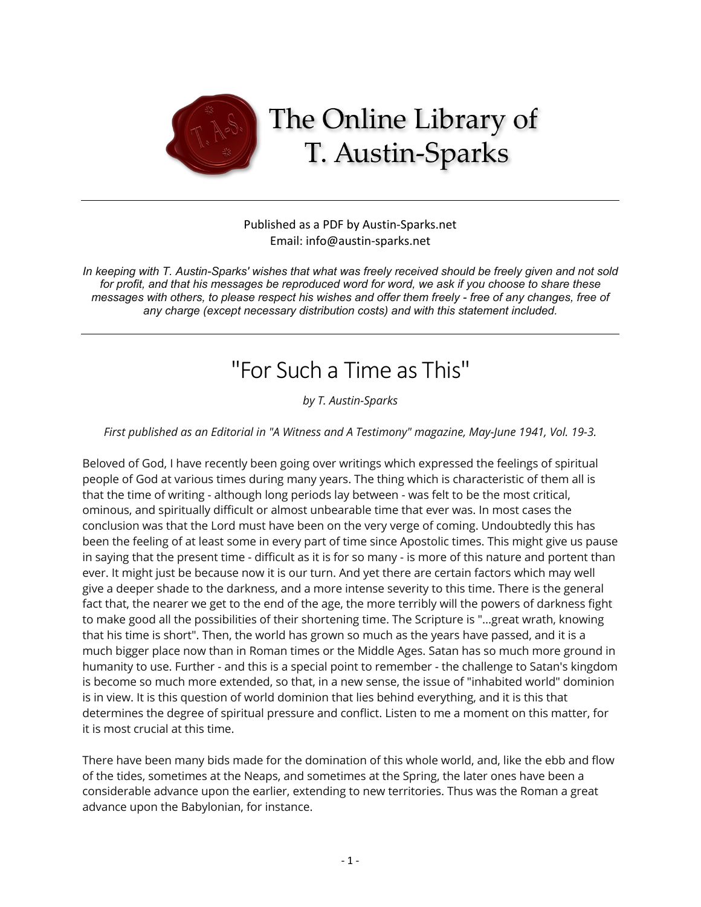

## Published as a PDF by Austin-Sparks.net Email: info@austin-sparks.net

*In keeping with T. Austin-Sparks' wishes that what was freely received should be freely given and not sold for profit, and that his messages be reproduced word for word, we ask if you choose to share these messages with others, to please respect his wishes and offer them freely - free of any changes, free of any charge (except necessary distribution costs) and with this statement included.*

## "For Such a Time as This"

*by T. Austin-Sparks*

*First published as an Editorial in "A Witness and A Testimony" magazine, May-June 1941, Vol. 19-3.*

Beloved of God, I have recently been going over writings which expressed the feelings of spiritual people of God at various times during many years. The thing which is characteristic of them all is that the time of writing - although long periods lay between - was felt to be the most critical, ominous, and spiritually difficult or almost unbearable time that ever was. In most cases the conclusion was that the Lord must have been on the very verge of coming. Undoubtedly this has been the feeling of at least some in every part of time since Apostolic times. This might give us pause in saying that the present time - difficult as it is for so many - is more of this nature and portent than ever. It might just be because now it is our turn. And yet there are certain factors which may well give a deeper shade to the darkness, and a more intense severity to this time. There is the general fact that, the nearer we get to the end of the age, the more terribly will the powers of darkness fight to make good all the possibilities of their shortening time. The Scripture is "...great wrath, knowing that his time is short". Then, the world has grown so much as the years have passed, and it is a much bigger place now than in Roman times or the Middle Ages. Satan has so much more ground in humanity to use. Further - and this is a special point to remember - the challenge to Satan's kingdom is become so much more extended, so that, in a new sense, the issue of "inhabited world" dominion is in view. It is this question of world dominion that lies behind everything, and it is this that determines the degree of spiritual pressure and conflict. Listen to me a moment on this matter, for it is most crucial at this time.

There have been many bids made for the domination of this whole world, and, like the ebb and flow of the tides, sometimes at the Neaps, and sometimes at the Spring, the later ones have been a considerable advance upon the earlier, extending to new territories. Thus was the Roman a great advance upon the Babylonian, for instance.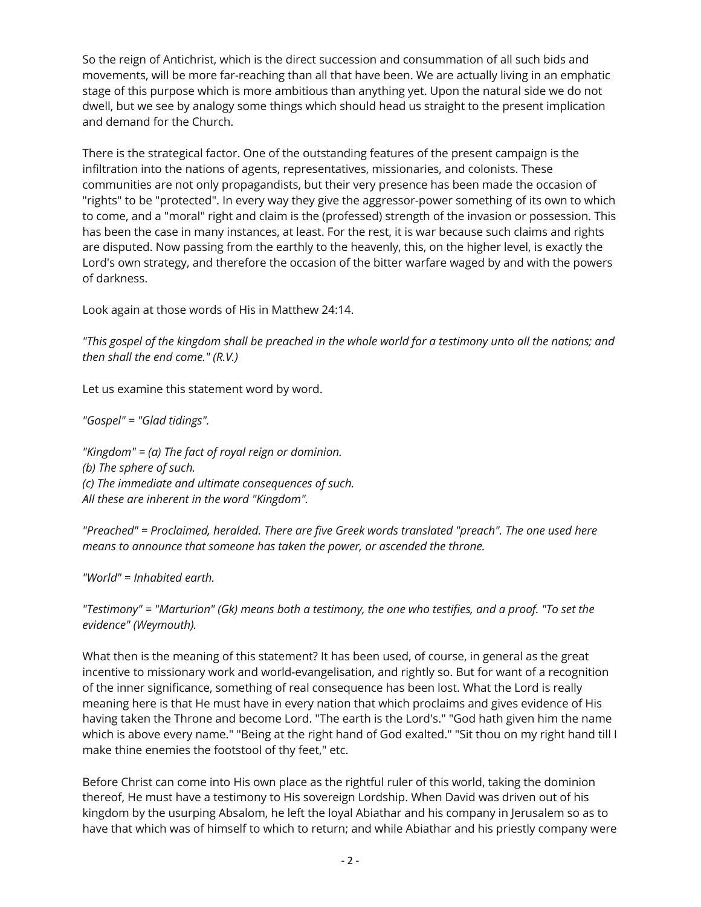So the reign of Antichrist, which is the direct succession and consummation of all such bids and movements, will be more far-reaching than all that have been. We are actually living in an emphatic stage of this purpose which is more ambitious than anything yet. Upon the natural side we do not dwell, but we see by analogy some things which should head us straight to the present implication and demand for the Church.

There is the strategical factor. One of the outstanding features of the present campaign is the infiltration into the nations of agents, representatives, missionaries, and colonists. These communities are not only propagandists, but their very presence has been made the occasion of "rights" to be "protected". In every way they give the aggressor-power something of its own to which to come, and a "moral" right and claim is the (professed) strength of the invasion or possession. This has been the case in many instances, at least. For the rest, it is war because such claims and rights are disputed. Now passing from the earthly to the heavenly, this, on the higher level, is exactly the Lord's own strategy, and therefore the occasion of the bitter warfare waged by and with the powers of darkness.

Look again at those words of His in Matthew 24:14.

*"This gospel of the kingdom shall be preached in the whole world for a testimony unto all the nations; and then shall the end come." (R.V.)*

Let us examine this statement word by word.

*"Gospel" = "Glad tidings".*

*"Kingdom" = (a) The fact of royal reign or dominion. (b) The sphere of such. (c) The immediate and ultimate consequences of such. All these are inherent in the word "Kingdom".*

*"Preached" = Proclaimed, heralded. There are five Greek words translated "preach". The one used here means to announce that someone has taken the power, or ascended the throne.*

*"World" = Inhabited earth.*

*"Testimony" = "Marturion" (Gk) means both a testimony, the one who testifies, and a proof. "To set the evidence" (Weymouth).*

What then is the meaning of this statement? It has been used, of course, in general as the great incentive to missionary work and world-evangelisation, and rightly so. But for want of a recognition of the inner significance, something of real consequence has been lost. What the Lord is really meaning here is that He must have in every nation that which proclaims and gives evidence of His having taken the Throne and become Lord. "The earth is the Lord's." "God hath given him the name which is above every name." "Being at the right hand of God exalted." "Sit thou on my right hand till I make thine enemies the footstool of thy feet," etc.

Before Christ can come into His own place as the rightful ruler of this world, taking the dominion thereof, He must have a testimony to His sovereign Lordship. When David was driven out of his kingdom by the usurping Absalom, he left the loyal Abiathar and his company in Jerusalem so as to have that which was of himself to which to return; and while Abiathar and his priestly company were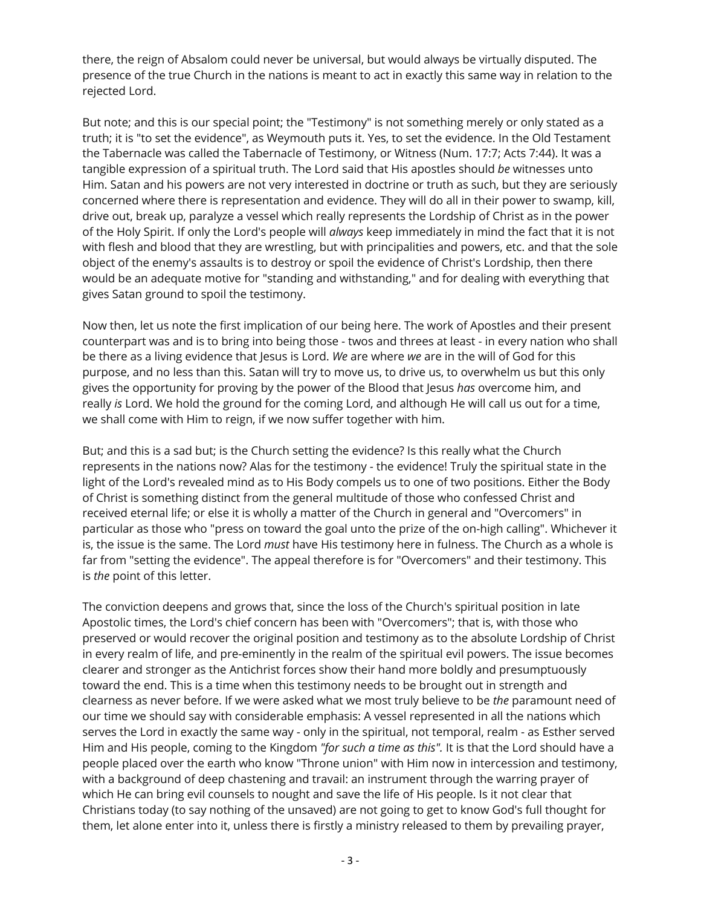there, the reign of Absalom could never be universal, but would always be virtually disputed. The presence of the true Church in the nations is meant to act in exactly this same way in relation to the rejected Lord.

But note; and this is our special point; the "Testimony" is not something merely or only stated as a truth; it is "to set the evidence", as Weymouth puts it. Yes, to set the evidence. In the Old Testament the Tabernacle was called the Tabernacle of Testimony, or Witness (Num. 17:7; Acts 7:44). It was a tangible expression of a spiritual truth. The Lord said that His apostles should *be* witnesses unto Him. Satan and his powers are not very interested in doctrine or truth as such, but they are seriously concerned where there is representation and evidence. They will do all in their power to swamp, kill, drive out, break up, paralyze a vessel which really represents the Lordship of Christ as in the power of the Holy Spirit. If only the Lord's people will *always* keep immediately in mind the fact that it is not with flesh and blood that they are wrestling, but with principalities and powers, etc. and that the sole object of the enemy's assaults is to destroy or spoil the evidence of Christ's Lordship, then there would be an adequate motive for "standing and withstanding," and for dealing with everything that gives Satan ground to spoil the testimony.

Now then, let us note the first implication of our being here. The work of Apostles and their present counterpart was and is to bring into being those - twos and threes at least - in every nation who shall be there as a living evidence that Jesus is Lord. *We* are where *we* are in the will of God for this purpose, and no less than this. Satan will try to move us, to drive us, to overwhelm us but this only gives the opportunity for proving by the power of the Blood that Jesus *has* overcome him, and really *is* Lord. We hold the ground for the coming Lord, and although He will call us out for a time, we shall come with Him to reign, if we now suffer together with him.

But; and this is a sad but; is the Church setting the evidence? Is this really what the Church represents in the nations now? Alas for the testimony - the evidence! Truly the spiritual state in the light of the Lord's revealed mind as to His Body compels us to one of two positions. Either the Body of Christ is something distinct from the general multitude of those who confessed Christ and received eternal life; or else it is wholly a matter of the Church in general and "Overcomers" in particular as those who "press on toward the goal unto the prize of the on-high calling". Whichever it is, the issue is the same. The Lord *must* have His testimony here in fulness. The Church as a whole is far from "setting the evidence". The appeal therefore is for "Overcomers" and their testimony. This is *the* point of this letter.

The conviction deepens and grows that, since the loss of the Church's spiritual position in late Apostolic times, the Lord's chief concern has been with "Overcomers"; that is, with those who preserved or would recover the original position and testimony as to the absolute Lordship of Christ in every realm of life, and pre-eminently in the realm of the spiritual evil powers. The issue becomes clearer and stronger as the Antichrist forces show their hand more boldly and presumptuously toward the end. This is a time when this testimony needs to be brought out in strength and clearness as never before. If we were asked what we most truly believe to be *the* paramount need of our time we should say with considerable emphasis: A vessel represented in all the nations which serves the Lord in exactly the same way - only in the spiritual, not temporal, realm - as Esther served Him and His people, coming to the Kingdom *"for such a time as this".* It is that the Lord should have a people placed over the earth who know "Throne union" with Him now in intercession and testimony, with a background of deep chastening and travail: an instrument through the warring prayer of which He can bring evil counsels to nought and save the life of His people. Is it not clear that Christians today (to say nothing of the unsaved) are not going to get to know God's full thought for them, let alone enter into it, unless there is firstly a ministry released to them by prevailing prayer,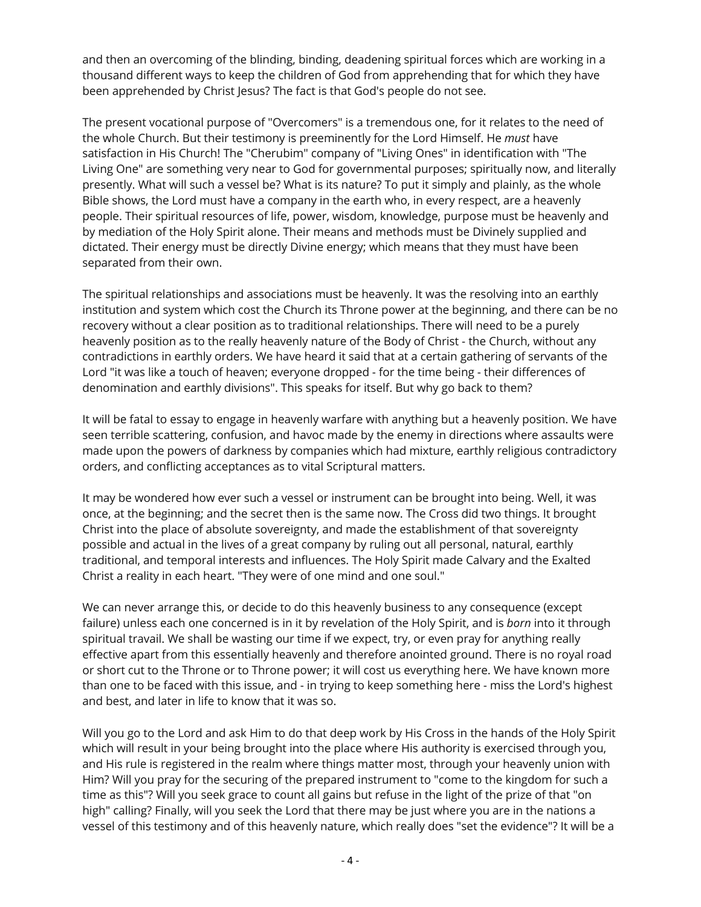and then an overcoming of the blinding, binding, deadening spiritual forces which are working in a thousand different ways to keep the children of God from apprehending that for which they have been apprehended by Christ Jesus? The fact is that God's people do not see.

The present vocational purpose of "Overcomers" is a tremendous one, for it relates to the need of the whole Church. But their testimony is preeminently for the Lord Himself. He *must* have satisfaction in His Church! The "Cherubim" company of "Living Ones" in identification with "The Living One" are something very near to God for governmental purposes; spiritually now, and literally presently. What will such a vessel be? What is its nature? To put it simply and plainly, as the whole Bible shows, the Lord must have a company in the earth who, in every respect, are a heavenly people. Their spiritual resources of life, power, wisdom, knowledge, purpose must be heavenly and by mediation of the Holy Spirit alone. Their means and methods must be Divinely supplied and dictated. Their energy must be directly Divine energy; which means that they must have been separated from their own.

The spiritual relationships and associations must be heavenly. It was the resolving into an earthly institution and system which cost the Church its Throne power at the beginning, and there can be no recovery without a clear position as to traditional relationships. There will need to be a purely heavenly position as to the really heavenly nature of the Body of Christ - the Church, without any contradictions in earthly orders. We have heard it said that at a certain gathering of servants of the Lord "it was like a touch of heaven; everyone dropped - for the time being - their differences of denomination and earthly divisions". This speaks for itself. But why go back to them?

It will be fatal to essay to engage in heavenly warfare with anything but a heavenly position. We have seen terrible scattering, confusion, and havoc made by the enemy in directions where assaults were made upon the powers of darkness by companies which had mixture, earthly religious contradictory orders, and conflicting acceptances as to vital Scriptural matters.

It may be wondered how ever such a vessel or instrument can be brought into being. Well, it was once, at the beginning; and the secret then is the same now. The Cross did two things. It brought Christ into the place of absolute sovereignty, and made the establishment of that sovereignty possible and actual in the lives of a great company by ruling out all personal, natural, earthly traditional, and temporal interests and influences. The Holy Spirit made Calvary and the Exalted Christ a reality in each heart. "They were of one mind and one soul."

We can never arrange this, or decide to do this heavenly business to any consequence (except failure) unless each one concerned is in it by revelation of the Holy Spirit, and is *born* into it through spiritual travail. We shall be wasting our time if we expect, try, or even pray for anything really effective apart from this essentially heavenly and therefore anointed ground. There is no royal road or short cut to the Throne or to Throne power; it will cost us everything here. We have known more than one to be faced with this issue, and - in trying to keep something here - miss the Lord's highest and best, and later in life to know that it was so.

Will you go to the Lord and ask Him to do that deep work by His Cross in the hands of the Holy Spirit which will result in your being brought into the place where His authority is exercised through you, and His rule is registered in the realm where things matter most, through your heavenly union with Him? Will you pray for the securing of the prepared instrument to "come to the kingdom for such a time as this"? Will you seek grace to count all gains but refuse in the light of the prize of that "on high" calling? Finally, will you seek the Lord that there may be just where you are in the nations a vessel of this testimony and of this heavenly nature, which really does "set the evidence"? It will be a